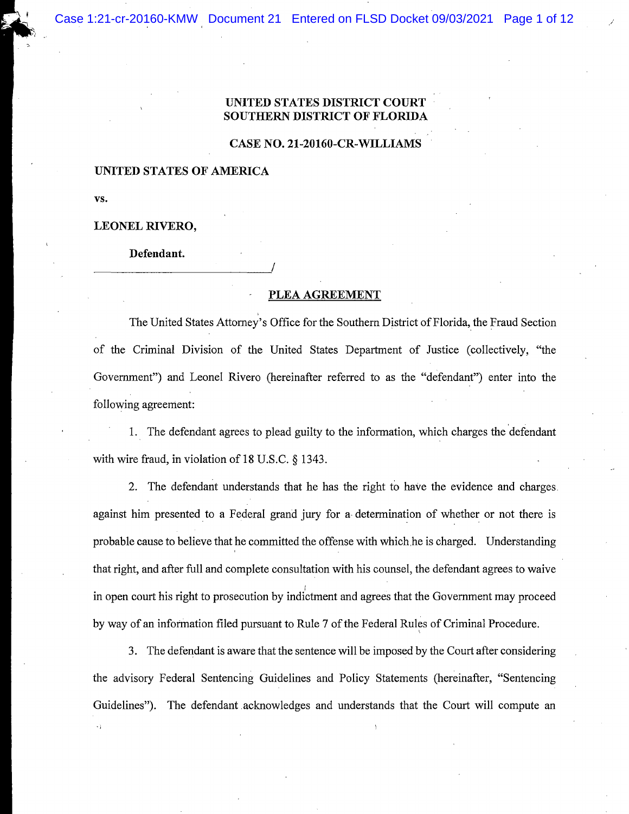## UNITED STATES DISTRICT COURT SOUTHERN DISTRICT OF FLORID.

## CASE NO. 21-20160-CR-WILLIAMS

#### **UNITED STATES OF AMERICA**

VS.

## LEONEL RIVERO,

Defendant.

## PLEA AGREEMENT

The United States Attorney's Office for the Southern District of Florida, the Fraud Section of the Criminal Division of the United States Department of Justice (collectively, "the Government") and Leonel Rivero (hereinafter referred to as the "defendant") enter into the following agreement:

1. The defendant agrees to plead guilty to the information, which charges the defendant with wire fraud, in violation of 18 U.S.C. § 1343.

2. The defendant understands that he has the right to have the evidence and charges. against him presented to a Federal grand jury for a determination of whether or not there is probable cause to believe that he committed the offense with which he is charged. Understanding that right, and after full and complete consultation with his counsel, the defendant agrees to waive in open court his right to prosecution by indictment and agrees that the Government may proceed by way of an information filed pursuant to Rule 7 of the Federal Rules of Criminal Procedure.

3. The defendant is aware that the sentence will be imposed by the Court after considering the advisory Federal Sentencing Guidelines and Policy Statements (hereinafter, "Sentencing Guidelines"). The defendant acknowledges and understands that the Court will compute an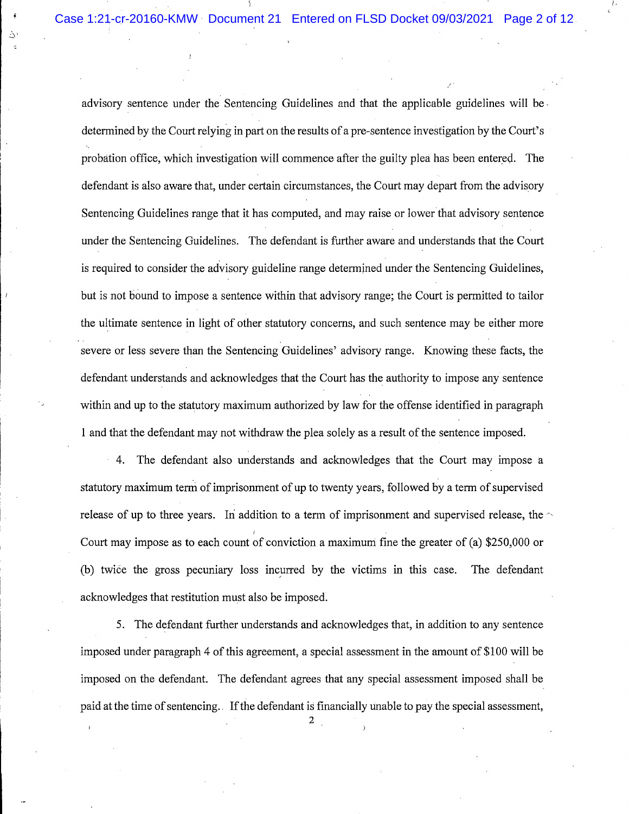À

advisory sentence under the Sentencing Guidelines and that the applicable guidelines will be determined by the Court relying in part on the results of a pre-sentence investigation by the Court's probation office, which investigation will commence after the guilty plea has been entered. The defendant is also aware that, under certain circumstances, the Court may depart from the advisory Sentencing Guidelines range that it has computed, and may raise or lower that advisory sentence under the Sentencing Guidelines. The defendant is further aware and understands that the Court is required to consider the advisory guideline range determined under the Sentencing Guidelines, but is not bound to impose a sentence within that advisory range; the Court is permitted to tailor the ultimate sentence in light of other statutory concerns, and such sentence may be either more severe or less severe than the Sentencing Guidelines' advisory range. Knowing these facts, the defendant understands and acknowledges that the Court has the authority to impose any sentence within and up to the statutory maximum authorized by law for the offense identified in paragraph 1 and that the defendant may not withdraw the plea solely as a result of the sentence imposed.

4. The defendant also understands and acknowledges that the Court may impose a statutory maximum term of imprisonment of up to twenty years, followed by a term of supervised release of up to three years. In addition to a term of imprisonment and supervised release, the  $\sim$ Court may impose as to each count of conviction a maximum fine the greater of (a) \$250,000 or (b) twice the gross pecuniary loss incurred by the victims in this case. The defendant acknowledges that restitution must also be imposed.

5. The defendant further understands and acknowledges that, in addition to any sentence imposed under paragraph 4 of this agreement, a special assessment in the amount of \$100 will be imposed on the defendant. The defendant agrees that any special assessment imposed shall be paid at the time of sentencing. If the defendant is financially unable to pay the special assessment,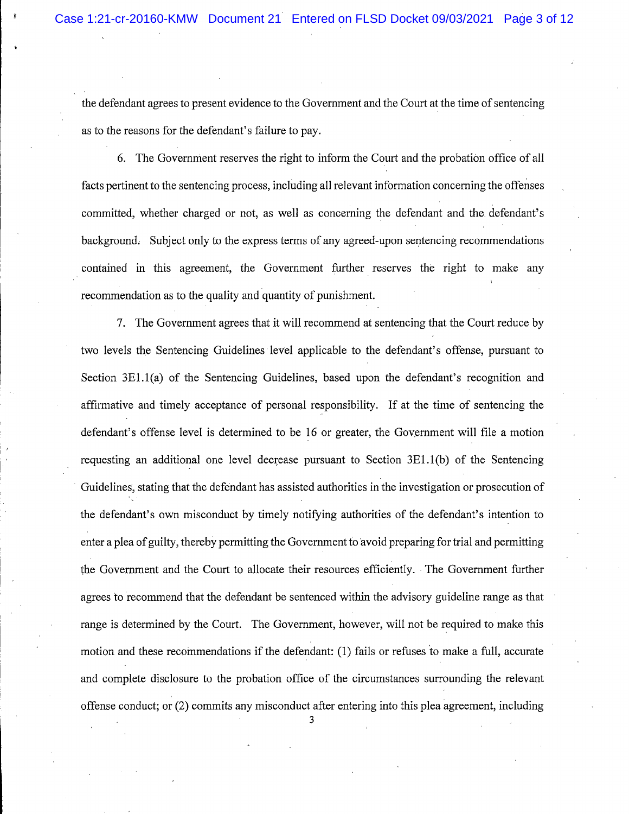the defendant agrees to present evidence to the Government and the Court at the time of sentencing as to the reasons for the defendant's failure to pay.

6. The Government reserves the right to inform the Court and the probation office of all facts pertinent to the sentencing process, including all relevant information concerning the offenses committed, whether charged or not, as well as concerning the defendant and the defendant's background. Subject only to the express terms of any agreed-upon sentencing recommendations contained in this agreement, the Government further reserves the right to make any recommendation as to the quality and quantity of punishment.

7. The Government agrees that it will recommend at sentencing that the Court reduce by two levels the Sentencing Guidelines level applicable to the defendant's offense, pursuant to Section 3E1.1(a) of the Sentencing Guidelines, based upon the defendant's recognition and affirmative and timely acceptance of personal responsibility. If at the time of sentencing the defendant's offense level is determined to be 16 or greater, the Government will file a motion requesting an additional one level decrease pursuant to Section 3E1.1(b) of the Sentencing Guidelines, stating that the defendant has assisted authorities in the investigation or prosecution of the defendant's own misconduct by timely notifying authorities of the defendant's intention to enter a plea of guilty, thereby permitting the Government to avoid preparing for trial and permitting the Government and the Court to allocate their resources efficiently. The Government further agrees to recommend that the defendant be sentenced within the advisory guideline range as that range is determined by the Court. The Government, however, will not be required to make this motion and these recommendations if the defendant: (1) fails or refuses to make a full, accurate and complete disclosure to the probation office of the circumstances surrounding the relevant offense conduct; or (2) commits any misconduct after entering into this plea agreement, including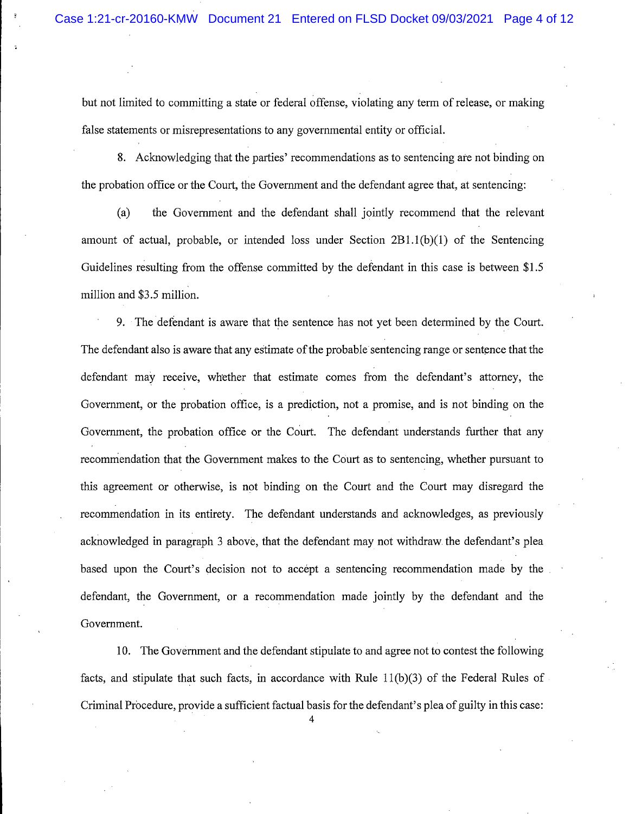but not limited to committing a state or federal offense, violating any term of release, or making false statements or misrepresentations to any governmental entity or official.

8. Acknowledging that the parties' recommendations as to sentencing are not binding on the probation office or the Court, the Government and the defendant agree that, at sentencing:

 $(a)$ the Government and the defendant shall jointly recommend that the relevant amount of actual, probable, or intended loss under Section  $2B1.1(b)(1)$  of the Sentencing Guidelines resulting from the offense committed by the defendant in this case is between \$1.5 million and \$3.5 million.

9. The defendant is aware that the sentence has not yet been determined by the Court. The defendant also is aware that any estimate of the probable sentencing range or sentence that the defendant may receive, whether that estimate comes from the defendant's attorney, the Government, or the probation office, is a prediction, not a promise, and is not binding on the Government, the probation office or the Court. The defendant understands further that any recommendation that the Government makes to the Court as to sentencing, whether pursuant to this agreement or otherwise, is not binding on the Court and the Court may disregard the recommendation in its entirety. The defendant understands and acknowledges, as previously acknowledged in paragraph 3 above, that the defendant may not withdraw the defendant's plea based upon the Court's decision not to accept a sentencing recommendation made by the defendant, the Government, or a recommendation made jointly by the defendant and the Government.

10. The Government and the defendant stipulate to and agree not to contest the following facts, and stipulate that such facts, in accordance with Rule  $11(b)(3)$  of the Federal Rules of Criminal Procedure, provide a sufficient factual basis for the defendant's plea of guilty in this case: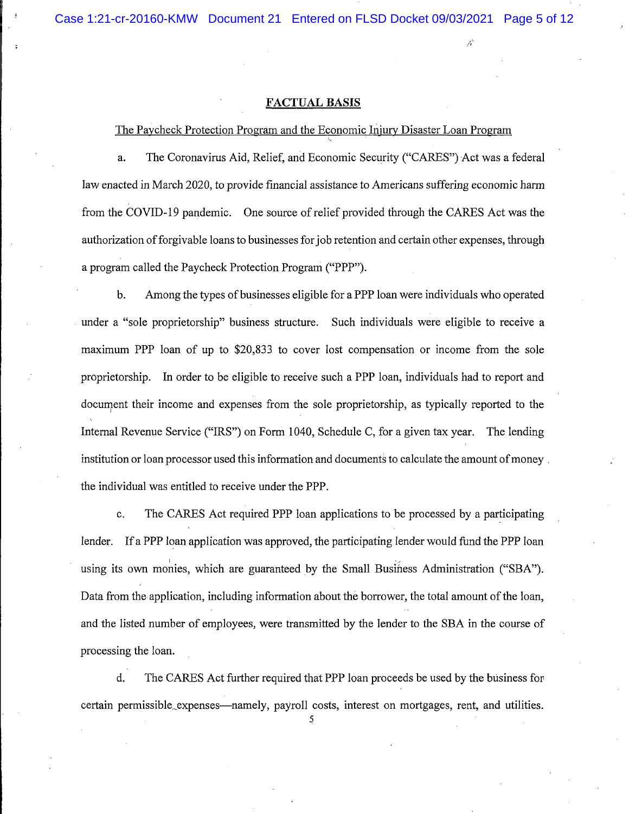#### **FACTUAL BASIS**

The Paycheck Protection Program and the Economic Injury Disaster Loan Program

The Coronavirus Aid, Relief, and Economic Security ("CARES") Act was a federal a. law enacted in March 2020, to provide financial assistance to Americans suffering economic harm from the COVID-19 pandemic. One source of relief provided through the CARES Act was the authorization of forgivable loans to businesses for job retention and certain other expenses, through a program called the Paycheck Protection Program ("PPP").

Among the types of businesses eligible for a PPP loan were individuals who operated  $<sub>b</sub>$ .</sub> under a "sole proprietorship" business structure. Such individuals were eligible to receive a maximum PPP loan of up to \$20,833 to cover lost compensation or income from the sole proprietorship. In order to be eligible to receive such a PPP loan, individuals had to report and document their income and expenses from the sole proprietorship, as typically reported to the Internal Revenue Service ("IRS") on Form 1040, Schedule C, for a given tax year. The lending institution or loan processor used this information and documents to calculate the amount of money. the individual was entitled to receive under the PPP.

The CARES Act required PPP loan applications to be processed by a participating  $\mathbf{c}$ . lender. If a PPP loan application was approved, the participating lender would fund the PPP loan using its own monies, which are guaranteed by the Small Business Administration ("SBA"). Data from the application, including information about the borrower, the total amount of the loan, and the listed number of employees, were transmitted by the lender to the SBA in the course of processing the loan.

d. The CARES Act further required that PPP loan proceeds be used by the business for certain permissible expenses—namely, payroll costs, interest on mortgages, rent, and utilities.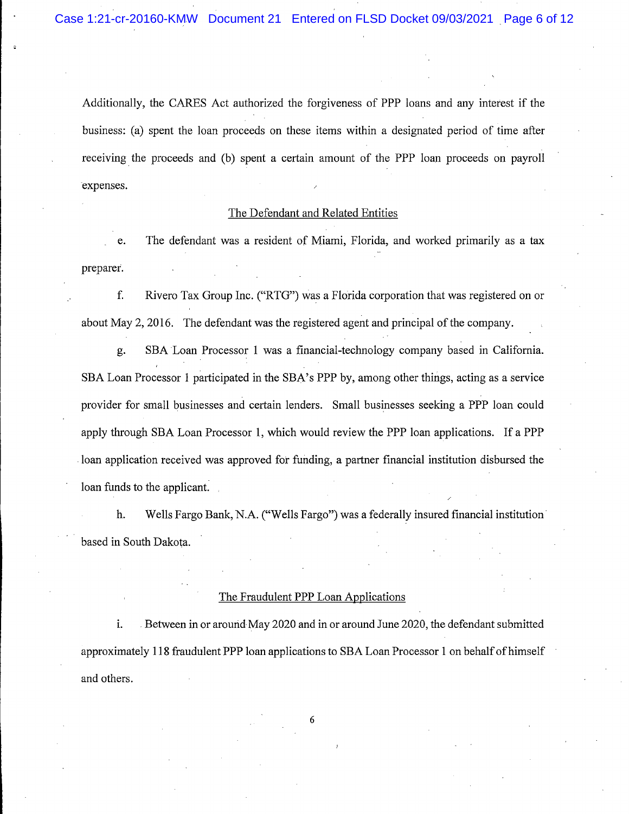Additionally, the CARES Act authorized the forgiveness of PPP loans and any interest if the business: (a) spent the loan proceeds on these items within a designated period of time after receiving the proceeds and (b) spent a certain amount of the PPP loan proceeds on payroll expenses.

## The Defendant and Related Entities

The defendant was a resident of Miami, Florida, and worked primarily as a tax e. preparer.

f. Rivero Tax Group Inc. ("RTG") was a Florida corporation that was registered on or about May 2, 2016. The defendant was the registered agent and principal of the company.

SBA Loan Processor 1 was a financial-technology company based in California. g. SBA Loan Processor 1 participated in the SBA's PPP by, among other things, acting as a service provider for small businesses and certain lenders. Small businesses seeking a PPP loan could apply through SBA Loan Processor 1, which would review the PPP loan applications. If a PPP loan application received was approved for funding, a partner financial institution disbursed the loan funds to the applicant.

h. Wells Fargo Bank, N.A. ("Wells Fargo") was a federally insured financial institution based in South Dakota.

## The Fraudulent PPP Loan Applications

i. Between in or around May 2020 and in or around June 2020, the defendant submitted approximately 118 fraudulent PPP loan applications to SBA Loan Processor 1 on behalf of himself and others.

6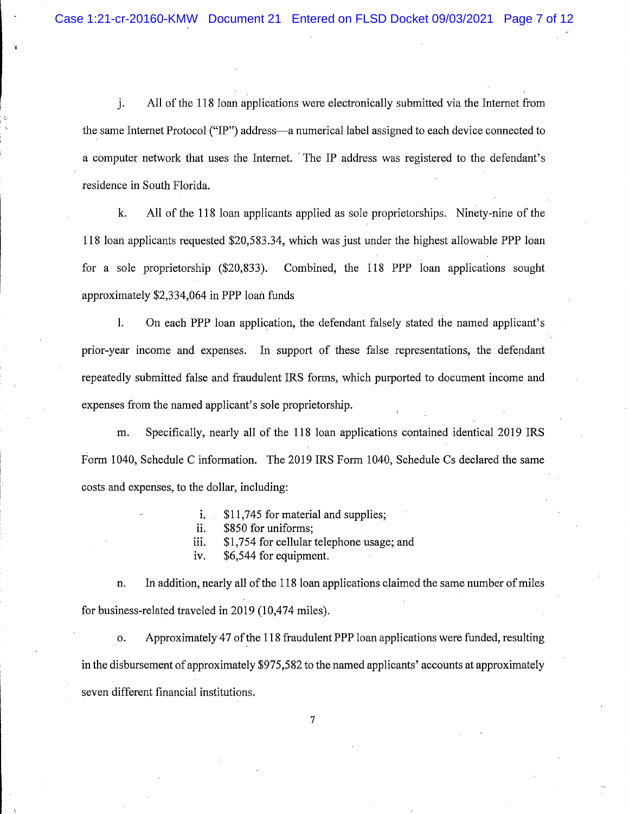All of the 118 loan applications were electronically submitted via the Internet from j. the same Internet Protocol ("IP") address—a numerical label assigned to each device connected to a computer network that uses the Internet. The IP address was registered to the defendant's residence in South Florida.

All of the 118 loan applicants applied as sole proprietorships. Ninety-nine of the k. 118 loan applicants requested \$20,583.34, which was just under the highest allowable PPP loan for a sole proprietorship  $(\$20,833)$ . Combined, the 118 PPP loan applications sought approximately \$2,334,064 in PPP loan funds

On each PPP loan application, the defendant falsely stated the named applicant's  $\mathbf{l}$ . prior-year income and expenses. In support of these false representations, the defendant repeatedly submitted false and fraudulent IRS forms, which purported to document income and expenses from the named applicant's sole proprietorship.

Specifically, nearly all of the 118 loan applications contained identical 2019 IRS m. Form 1040, Schedule C information. The 2019 IRS Form 1040, Schedule Cs declared the same costs and expenses, to the dollar, including:

- \$11,745 for material and supplies; i.
- \$850 for uniforms: ii.
- \$1,754 for cellular telephone usage; and iii.
- iv. \$6,544 for equipment.

In addition, nearly all of the 118 loan applications claimed the same number of miles n. for business-related traveled in 2019 (10,474 miles).

Approximately 47 of the 118 fraudulent PPP loan applications were funded, resulting  $\mathbf{o}$ . in the disbursement of approximately \$975,582 to the named applicants' accounts at approximately seven different financial institutions.

 $\overline{7}$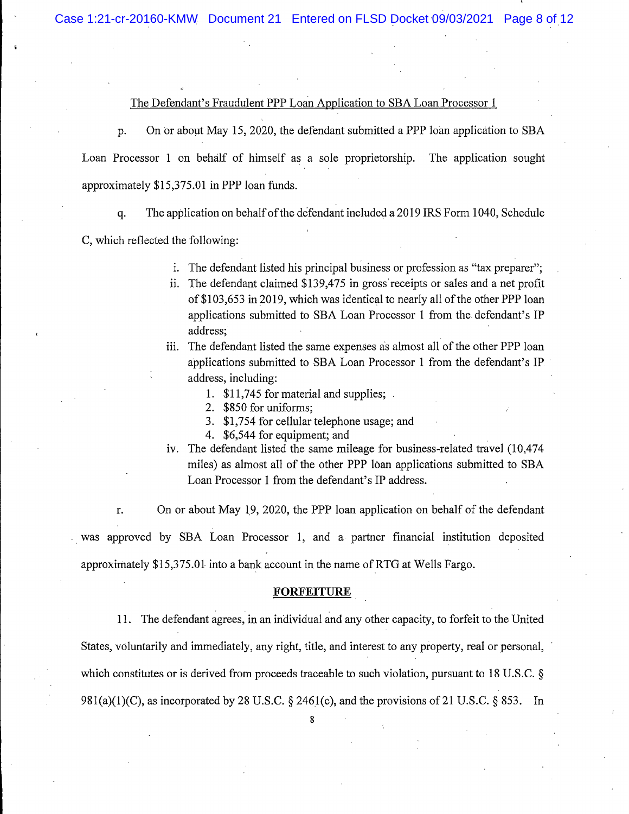## The Defendant's Fraudulent PPP Loan Application to SBA Loan Processor 1

On or about May 15, 2020, the defendant submitted a PPP loan application to SBA p. Loan Processor 1 on behalf of himself as a sole proprietorship. The application sought approximately \$15,375.01 in PPP loan funds.

The application on behalf of the defendant included a 2019 IRS Form 1040, Schedule q.

C, which reflected the following:

- i. The defendant listed his principal business or profession as "tax preparer";
- ii. The defendant claimed \$139,475 in gross receipts or sales and a net profit of \$103,653 in 2019, which was identical to nearly all of the other PPP loan applications submitted to SBA Loan Processor 1 from the defendant's IP address:
- iii. The defendant listed the same expenses as almost all of the other PPP loan applications submitted to SBA Loan Processor 1 from the defendant's IP address, including:
	- 1. \$11,745 for material and supplies:
	- 2. \$850 for uniforms;
	- 3. \$1,754 for cellular telephone usage; and
	- 4. \$6,544 for equipment; and
- iv. The defendant listed the same mileage for business-related travel (10,474 miles) as almost all of the other PPP loan applications submitted to SBA Loan Processor 1 from the defendant's IP address.

On or about May 19, 2020, the PPP loan application on behalf of the defendant r.

was approved by SBA Loan Processor 1, and a partner financial institution deposited approximately \$15,375.01 into a bank account in the name of RTG at Wells Fargo.

#### **FORFEITURE**

11. The defendant agrees, in an individual and any other capacity, to forfeit to the United States, voluntarily and immediately, any right, title, and interest to any property, real or personal, which constitutes or is derived from proceeds traceable to such violation, pursuant to 18 U.S.C.  $\S$ 981(a)(1)(C), as incorporated by 28 U.S.C. § 2461(c), and the provisions of 21 U.S.C. § 853. In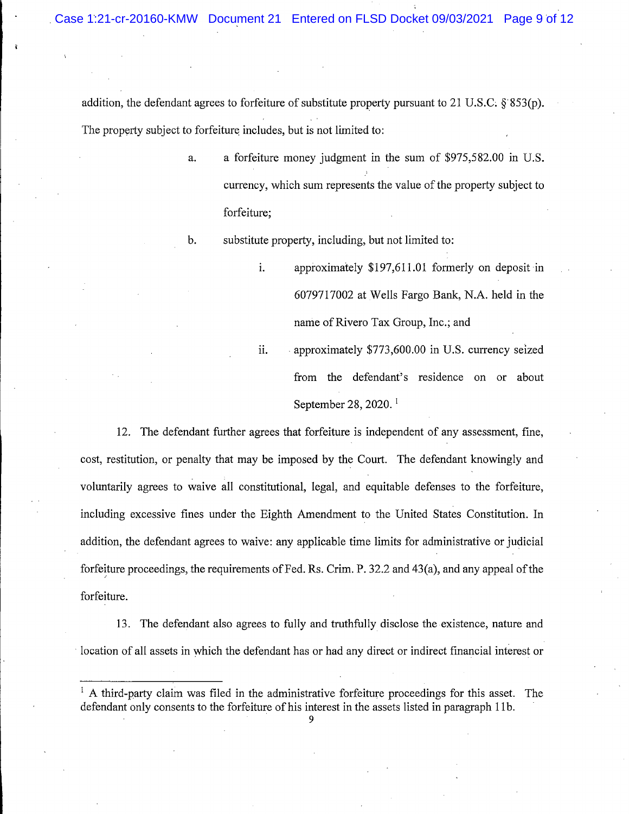addition, the defendant agrees to forfeiture of substitute property pursuant to 21 U.S.C.  $\S$  853(p). The property subject to forfeiture includes, but is not limited to:

- a. a forfeiture money judgment in the sum of \$975,582.00 in U.S. currency, which sum represents the value of the property subject to forfeiture;
- $\mathbf{b}$ . substitute property, including, but not limited to:
	- i. approximately  $$197,611.01$  formerly on deposit in 6079717002 at Wells Fargo Bank, N.A. held in the name of Rivero Tax Group, Inc.; and

T.

ii. approximately \$773,600.00 in U.S. currency seized from the defendant's residence on or about September 28, 2020. $<sup>1</sup>$ </sup>

12. The defendant further agrees that forfeiture is independent of any assessment, fine, cost, restitution, or penalty that may be imposed by the Court. The defendant knowingly and voluntarily agrees to waive all constitutional, legal, and equitable defenses to the forfeiture, including excessive fines under the Eighth Amendment to the United States Constitution. In addition, the defendant agrees to waive: any applicable time limits for administrative or judicial forfeiture proceedings, the requirements of Fed. Rs. Crim. P. 32.2 and 43(a), and any appeal of the forfeiture.

13. The defendant also agrees to fully and truthfully disclose the existence, nature and location of all assets in which the defendant has or had any direct or indirect financial interest or

 $\frac{1}{1}$  A third-party claim was filed in the administrative forfeiture proceedings for this asset. The defendant only consents to the forfeiture of his interest in the assets listed in paragraph 11b.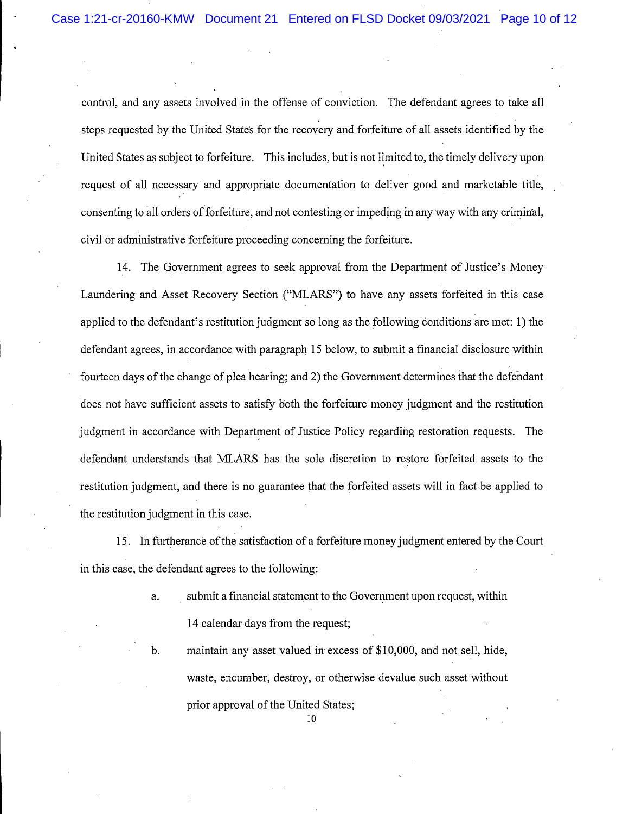control, and any assets involved in the offense of conviction. The defendant agrees to take all steps requested by the United States for the recovery and forfeiture of all assets identified by the United States as subject to forfeiture. This includes, but is not limited to, the timely delivery upon request of all necessary and appropriate documentation to deliver good and marketable title, consenting to all orders of forfeiture, and not contesting or impeding in any way with any criminal, civil or administrative forfeiture proceeding concerning the forfeiture.

14. The Government agrees to seek approval from the Department of Justice's Money Laundering and Asset Recovery Section ("MLARS") to have any assets forfeited in this case applied to the defendant's restitution judgment so long as the following conditions are met: 1) the defendant agrees, in accordance with paragraph 15 below, to submit a financial disclosure within fourteen days of the change of plea hearing; and 2) the Government determines that the defendant does not have sufficient assets to satisfy both the forfeiture money judgment and the restitution judgment in accordance with Department of Justice Policy regarding restoration requests. The defendant understands that MLARS has the sole discretion to restore forfeited assets to the restitution judgment, and there is no guarantee that the forfeited assets will in fact be applied to the restitution judgment in this case.

15. In furtherance of the satisfaction of a forfeiture money judgment entered by the Court in this case, the defendant agrees to the following:

- submit a financial statement to the Government upon request, within a. 14 calendar days from the request;
	- maintain any asset valued in excess of \$10,000, and not sell, hide, waste, encumber, destroy, or otherwise devalue such asset without prior approval of the United States;

b.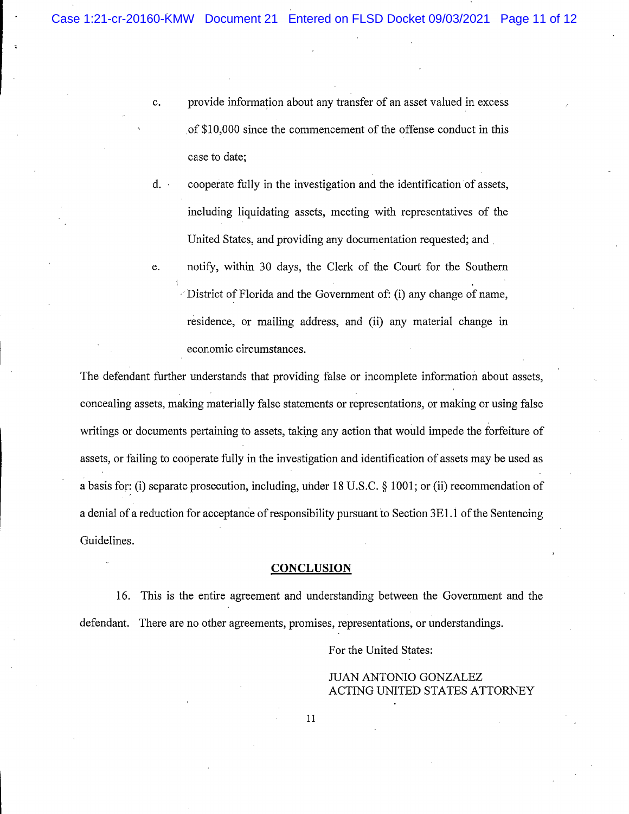- $\mathbf{c}$ . provide information about any transfer of an asset valued in excess of \$10,000 since the commencement of the offense conduct in this case to date;
- $d.$ cooperate fully in the investigation and the identification of assets, including liquidating assets, meeting with representatives of the United States, and providing any documentation requested; and
- notify, within 30 days, the Clerk of the Court for the Southern e. District of Florida and the Government of: (i) any change of name, residence, or mailing address, and (ii) any material change in economic circumstances.

The defendant further understands that providing false or incomplete information about assets, concealing assets, making materially false statements or representations, or making or using false writings or documents pertaining to assets, taking any action that would impede the forfeiture of assets, or failing to cooperate fully in the investigation and identification of assets may be used as a basis for: (i) separate prosecution, including, under 18 U.S.C. § 1001; or (ii) recommendation of a denial of a reduction for acceptance of responsibility pursuant to Section 3E1.1 of the Sentencing Guidelines.

#### **CONCLUSION**

16. This is the entire agreement and understanding between the Government and the defendant. There are no other agreements, promises, representations, or understandings.

For the United States:

# **JUAN ANTONIO GONZALEZ ACTING UNITED STATES ATTORNEY**

 $11\,$